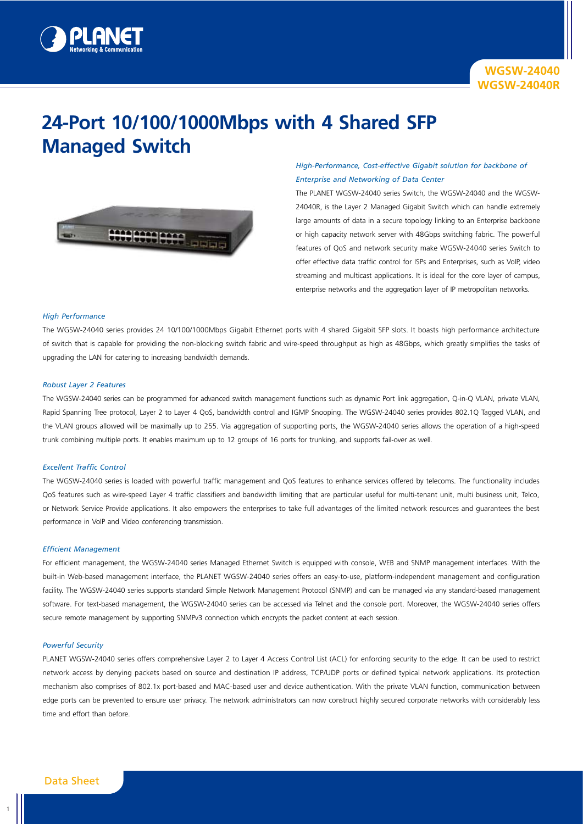

# **24-Port 10/100/1000Mbps with 4 Shared SFP Managed Switch**



# *High-Performance, Cost-effective Gigabit solution for backbone of Enterprise and Networking of Data Center*

The PLANET WGSW-24040 series Switch, the WGSW-24040 and the WGSW-24040R, is the Layer 2 Managed Gigabit Switch which can handle extremely large amounts of data in a secure topology linking to an Enterprise backbone or high capacity network server with 48Gbps switching fabric. The powerful features of QoS and network security make WGSW-24040 series Switch to offer effective data traffic control for ISPs and Enterprises, such as VoIP, video streaming and multicast applications. It is ideal for the core layer of campus, enterprise networks and the aggregation layer of IP metropolitan networks.

## *High Performance*

The WGSW-24040 series provides 24 10/100/1000Mbps Gigabit Ethernet ports with 4 shared Gigabit SFP slots. It boasts high performance architecture of switch that is capable for providing the non-blocking switch fabric and wire-speed throughput as high as 48Gbps, which greatly simplifies the tasks of upgrading the LAN for catering to increasing bandwidth demands.

### *Robust Layer 2 Features*

The WGSW-24040 series can be programmed for advanced switch management functions such as dynamic Port link aggregation, Q-in-Q VLAN, private VLAN, Rapid Spanning Tree protocol, Layer 2 to Layer 4 QoS, bandwidth control and IGMP Snooping. The WGSW-24040 series provides 802.1Q Tagged VLAN, and the VLAN groups allowed will be maximally up to 255. Via aggregation of supporting ports, the WGSW-24040 series allows the operation of a high-speed trunk combining multiple ports. It enables maximum up to 12 groups of 16 ports for trunking, and supports fail-over as well.

## *Excellent Traffic Control*

The WGSW-24040 series is loaded with powerful traffic management and QoS features to enhance services offered by telecoms. The functionality includes QoS features such as wire-speed Layer 4 traffic classifiers and bandwidth limiting that are particular useful for multi-tenant unit, multi business unit, Telco, or Network Service Provide applications. It also empowers the enterprises to take full advantages of the limited network resources and guarantees the best performance in VoIP and Video conferencing transmission.

#### *Efficient Management*

For efficient management, the WGSW-24040 series Managed Ethernet Switch is equipped with console, WEB and SNMP management interfaces. With the built-in Web-based management interface, the PLANET WGSW-24040 series offers an easy-to-use, platform-independent management and configuration facility. The WGSW-24040 series supports standard Simple Network Management Protocol (SNMP) and can be managed via any standard-based management software. For text-based management, the WGSW-24040 series can be accessed via Telnet and the console port. Moreover, the WGSW-24040 series offers secure remote management by supporting SNMPv3 connection which encrypts the packet content at each session.

## *Powerful Security*

PLANET WGSW-24040 series offers comprehensive Layer 2 to Layer 4 Access Control List (ACL) for enforcing security to the edge. It can be used to restrict network access by denying packets based on source and destination IP address, TCP/UDP ports or defined typical network applications. Its protection mechanism also comprises of 802.1x port-based and MAC-based user and device authentication. With the private VLAN function, communication between edge ports can be prevented to ensure user privacy. The network administrators can now construct highly secured corporate networks with considerably less time and effort than before.

1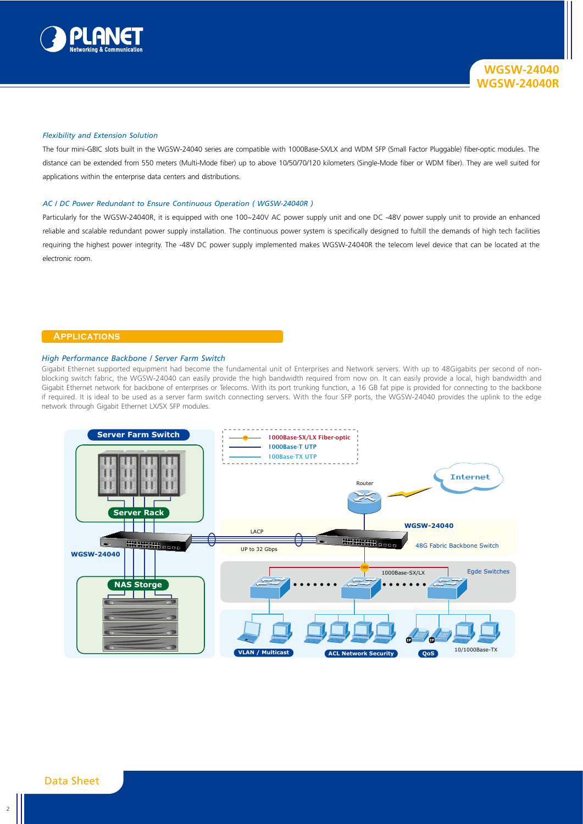

## *Flexibility and Extension Solution*

The four mini-GBIC slots built in the WGSW-24040 series are compatible with 1000Base-SX/LX and WDM SFP (Small Factor Pluggable) fiber-optic modules. The distance can be extended from 550 meters (Multi-Mode fiber) up to above 10/50/70/120 kilometers (Single-Mode fiber or WDM fiber). They are well suited for applications within the enterprise data centers and distributions.

#### *AC / DC Power Redundant to Ensure Continuous Operation ( WGSW-24040R )*

Particularly for the WGSW-24040R, it is equipped with one 100~240V AC power supply unit and one DC -48V power supply unit to provide an enhanced reliable and scalable redundant power supply installation. The continuous power system is specifically designed to fultill the demands of high tech facilities requiring the highest power integrity. The -48V DC power supply implemented makes WGSW-24040R the telecom level device that can be located at the electronic room.

## **Applications**

#### *High Performance Backbone / Server Farm Switch*

Gigabit Ethernet supported equipment had become the fundamental unit of Enterprises and Network servers. With up to 48Gigabits per second of nonblocking switch fabric, the WGSW-24040 can easily provide the high bandwidth required from now on. It can easily provide a local, high bandwidth and Gigabit Ethernet network for backbone of enterprises or Telecoms. With its port trunking function, a 16 GB fat pipe is provided for connecting to the backbone if required. It is ideal to be used as a server farm switch connecting servers. With the four SFP ports, the WGSW-24040 provides the uplink to the edge network through Gigabit Ethernet LX/SX SFP modules.

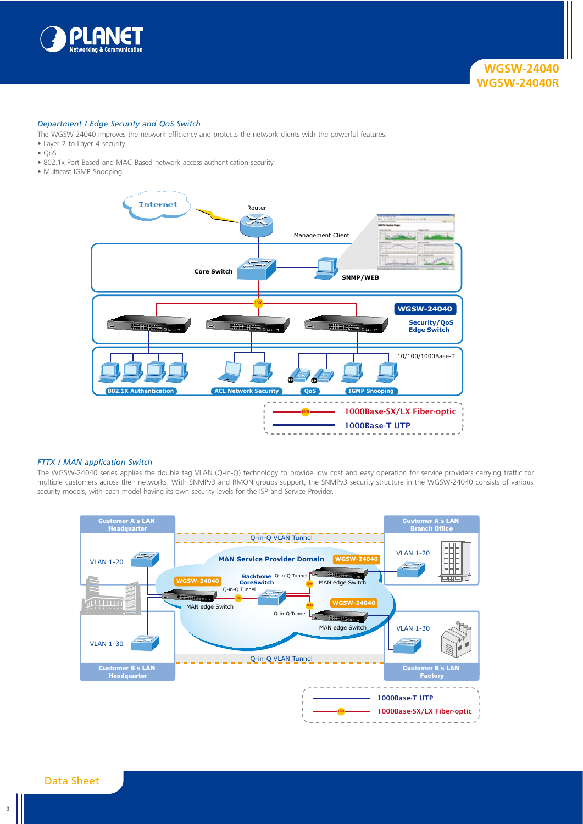

## *Department / Edge Security and QoS Switch*

- The WGSW-24040 improves the network efficiency and protects the network clients with the powerful features:
- Layer 2 to Layer 4 security
- QoS
- 802.1x Port-Based and MAC-Based network access authentication security
- Multicast IGMP Snooping



## *FTTX / MAN application Switch*

The WGSW-24040 series applies the double tag VLAN (Q-in-Q) technology to provide low cost and easy operation for service providers carrying traffic for multiple customers across their networks. With SNMPv3 and RMON groups support, the SNMPv3 security structure in the WGSW-24040 consists of various security models, with each model having its own security levels for the ISP and Service Provider.



3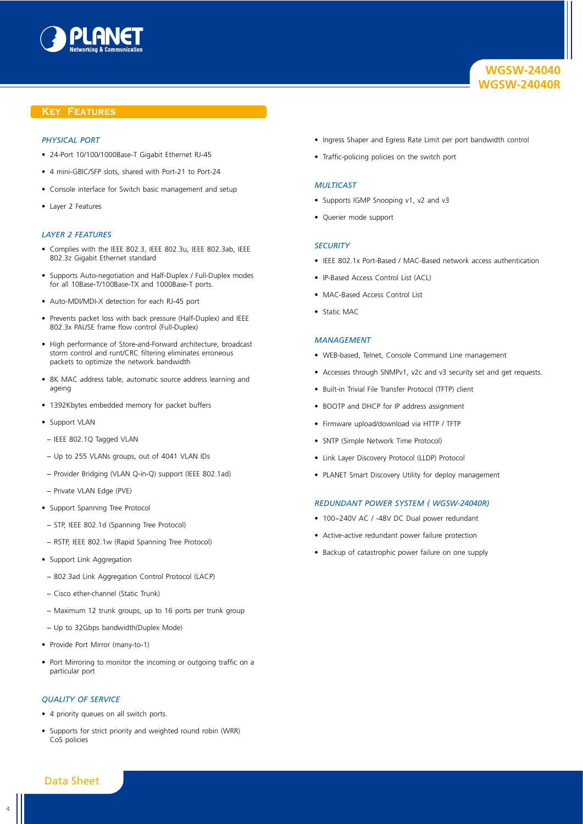

## **Key Features**

## *Physical Port*

- 24-Port 10/100/1000Base-T Gigabit Ethernet RJ-45
- 4 mini-GBIC/SFP slots, shared with Port-21 to Port-24
- Console interface for Switch basic management and setup
- Layer 2 Features

# *Layer 2 Features*

- Complies with the IEEE 802.3, IEEE 802.3u, IEEE 802.3ab, IEEE 802.3z Gigabit Ethernet standard
- Supports Auto-negotiation and Half-Duplex / Full-Duplex modes for all 10Base-T/100Base-TX and 1000Base-T ports.
- Auto-MDI/MDI-X detection for each RJ-45 port
- Prevents packet loss with back pressure (Half-Duplex) and IEEE 802.3x PAUSE frame flow control (Full-Duplex)
- High performance of Store-and-Forward architecture, broadcast storm control and runt/CRC filtering eliminates erroneous packets to optimize the network bandwidth
- 8K MAC address table, automatic source address learning and ageing
- 1392Kbytes embedded memory for packet buffers
- Support VLAN
- − IEEE 802.1Q Tagged VLAN
- − Up to 255 VLANs groups, out of 4041 VLAN IDs
- − Provider Bridging (VLAN Q-in-Q) support (IEEE 802.1ad)
- − Private VLAN Edge (PVE)
- Support Spanning Tree Protocol
- − STP, IEEE 802.1d (Spanning Tree Protocol)
- − RSTP, IEEE 802.1w (Rapid Spanning Tree Protocol)
- Support Link Aggregation
- − 802.3ad Link Aggregation Control Protocol (LACP)
- − Cisco ether-channel (Static Trunk)
- − Maximum 12 trunk groups, up to 16 ports per trunk group
- − Up to 32Gbps bandwidth(Duplex Mode)
- Provide Port Mirror (many-to-1)
- Port Mirroring to monitor the incoming or outgoing traffic on a particular port

## *Quality of Service*

- 4 priority queues on all switch ports.
- Supports for strict priority and weighted round robin (WRR) CoS policies
- Ingress Shaper and Egress Rate Limit per port bandwidth control
- Traffic-policing policies on the switch port

## *Multicast*

- Supports IGMP Snooping v1, v2 and v3
- Querier mode support

#### *Security*

- IEEE 802.1x Port-Based / MAC-Based network access authentication
- IP-Based Access Control List (ACL)
- MAC-Based Access Control List
- Static MAC

#### *Management*

- WEB-based, Telnet, Console Command Line management
- Accesses through SNMPv1, v2c and v3 security set and get requests.
- Built-in Trivial File Transfer Protocol (TFTP) client
- BOOTP and DHCP for IP address assignment
- Firmware upload/download via HTTP / TFTP
- SNTP (Simple Network Time Protocol)
- Link Layer Discovery Protocol (LLDP) Protocol
- PLANET Smart Discovery Utility for deploy management

## *Redundant Power System ( WGSW-24040R)*

- 100~240V AC / -48V DC Dual power redundant
- Active-active redundant power failure protection
- Backup of catastrophic power failure on one supply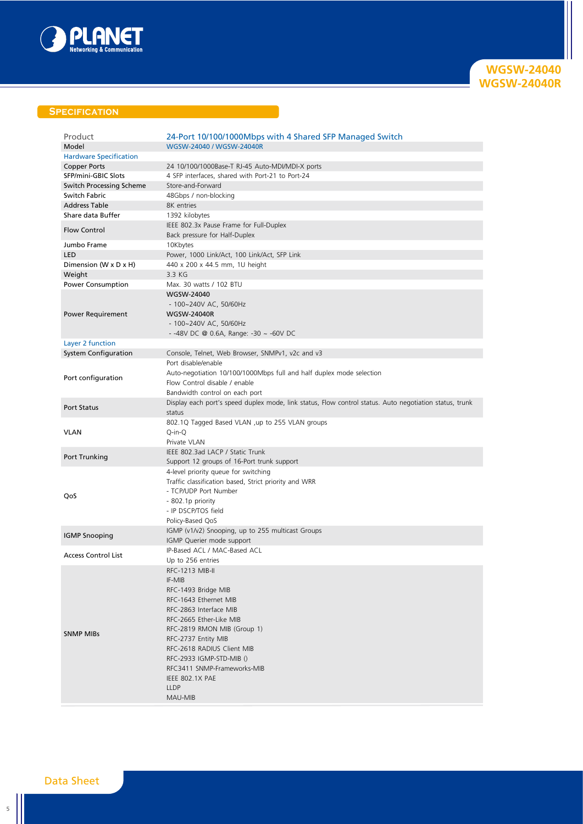

**WGSW-24040 WGSW-24040R**

# **Specification**

| Product<br>Model                                 | 24-Port 10/100/1000Mbps with 4 Shared SFP Managed Switch<br>WGSW-24040 / WGSW-24040R                    |
|--------------------------------------------------|---------------------------------------------------------------------------------------------------------|
| <b>Hardware Specification</b>                    |                                                                                                         |
| <b>Copper Ports</b>                              | 24 10/100/1000Base-T RJ-45 Auto-MDI/MDI-X ports                                                         |
| SFP/mini-GBIC Slots                              | 4 SFP interfaces, shared with Port-21 to Port-24<br>Store-and-Forward                                   |
| <b>Switch Processing Scheme</b><br>Switch Fabric |                                                                                                         |
| <b>Address Table</b>                             | 48Gbps / non-blocking<br>8K entries                                                                     |
| Share data Buffer                                | 1392 kilobytes                                                                                          |
|                                                  | IEEE 802.3x Pause Frame for Full-Duplex                                                                 |
| <b>Flow Control</b>                              | Back pressure for Half-Duplex                                                                           |
| Jumbo Frame                                      | 10Kbytes                                                                                                |
| LED                                              | Power, 1000 Link/Act, 100 Link/Act, SFP Link                                                            |
| Dimension (W x D x H)                            | 440 x 200 x 44.5 mm, 1U height                                                                          |
| Weight                                           | 3.3 KG                                                                                                  |
| Power Consumption                                | Max. 30 watts / 102 BTU                                                                                 |
|                                                  | WGSW-24040                                                                                              |
|                                                  | - 100~240V AC, 50/60Hz                                                                                  |
| Power Requirement                                | <b>WGSW-24040R</b>                                                                                      |
|                                                  | - 100~240V AC, 50/60Hz                                                                                  |
|                                                  | - -48V DC @ 0.6A, Range: -30 $\sim$ -60V DC                                                             |
| Layer 2 function                                 |                                                                                                         |
| <b>System Configuration</b>                      | Console, Telnet, Web Browser, SNMPv1, v2c and v3                                                        |
|                                                  | Port disable/enable                                                                                     |
| Port configuration                               | Auto-negotiation 10/100/1000Mbps full and half duplex mode selection<br>Flow Control disable / enable   |
|                                                  | Bandwidth control on each port                                                                          |
|                                                  | Display each port's speed duplex mode, link status, Flow control status. Auto negotiation status, trunk |
| <b>Port Status</b>                               | status                                                                                                  |
|                                                  | 802.1Q Tagged Based VLAN ,up to 255 VLAN groups                                                         |
| <b>VLAN</b>                                      | Q-in-Q                                                                                                  |
|                                                  | Private VLAN<br>IEEE 802.3ad LACP / Static Trunk                                                        |
| Port Trunking                                    | Support 12 groups of 16-Port trunk support                                                              |
|                                                  | 4-level priority queue for switching                                                                    |
|                                                  | Traffic classification based, Strict priority and WRR                                                   |
|                                                  | - TCP/UDP Port Number                                                                                   |
| QoS                                              | - 802.1p priority                                                                                       |
|                                                  | - IP DSCP/TOS field                                                                                     |
|                                                  | Policy-Based QoS                                                                                        |
|                                                  | IGMP (v1/v2) Snooping, up to 255 multicast Groups                                                       |
| <b>IGMP Snooping</b>                             | IGMP Querier mode support                                                                               |
| <b>Access Control List</b>                       | IP-Based ACL / MAC-Based ACL                                                                            |
|                                                  | Up to 256 entries                                                                                       |
|                                                  | RFC-1213 MIB-II                                                                                         |
|                                                  | IF-MIB                                                                                                  |
|                                                  | RFC-1493 Bridge MIB                                                                                     |
|                                                  | RFC-1643 Ethernet MIB                                                                                   |
|                                                  | RFC-2863 Interface MIB                                                                                  |
|                                                  | RFC-2665 Ether-Like MIB                                                                                 |
| <b>SNMP MIBs</b>                                 | RFC-2819 RMON MIB (Group 1)                                                                             |
|                                                  | RFC-2737 Entity MIB                                                                                     |
|                                                  | RFC-2618 RADIUS Client MIB<br>RFC-2933 IGMP-STD-MIB ()                                                  |
|                                                  | RFC3411 SNMP-Frameworks-MIB                                                                             |
|                                                  | IEEE 802.1X PAE                                                                                         |
|                                                  | <b>LLDP</b>                                                                                             |
|                                                  | MAU-MIB                                                                                                 |
|                                                  |                                                                                                         |

Data Sheet

5